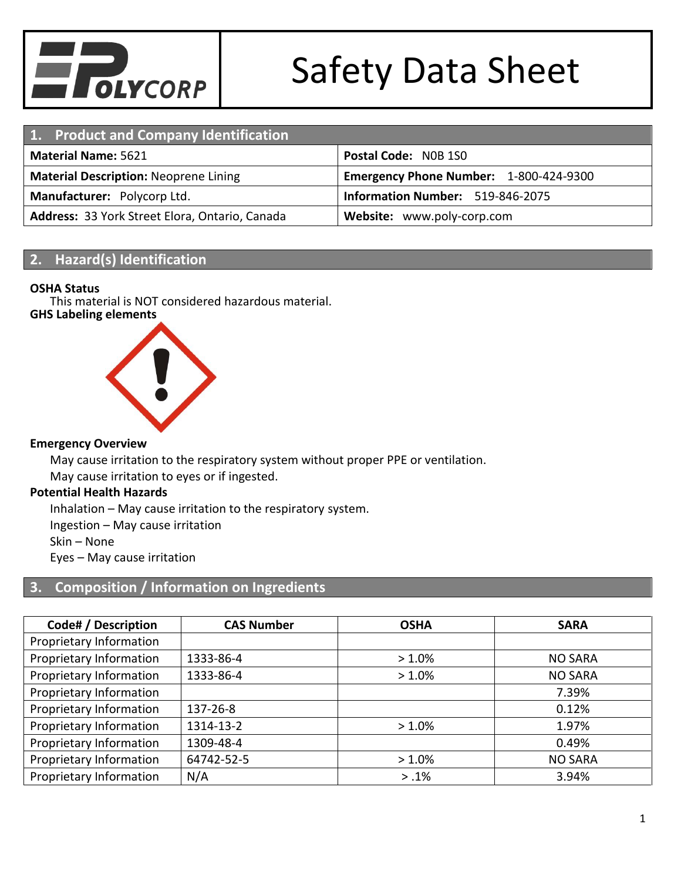

| 1. Product and Company Identification          |                                        |
|------------------------------------------------|----------------------------------------|
| <b>Material Name: 5621</b>                     | Postal Code: NOB 1SO                   |
| <b>Material Description: Neoprene Lining</b>   | Emergency Phone Number: 1-800-424-9300 |
| Manufacturer: Polycorp Ltd.                    | Information Number: 519-846-2075       |
| Address: 33 York Street Elora, Ontario, Canada | Website: www.poly-corp.com             |

### **2. Hazard(s) Identification**

#### **OSHA Status**

This material is NOT considered hazardous material.

### **GHS Labeling elements**



#### **Emergency Overview**

May cause irritation to the respiratory system without proper PPE or ventilation.

May cause irritation to eyes or if ingested.

#### **Potential Health Hazards**

Inhalation – May cause irritation to the respiratory system.

Ingestion – May cause irritation

Skin – None

Eyes – May cause irritation

## **3. Composition / Information on Ingredients**

| Code# / Description     | <b>CAS Number</b> | <b>OSHA</b> | <b>SARA</b>    |
|-------------------------|-------------------|-------------|----------------|
| Proprietary Information |                   |             |                |
| Proprietary Information | 1333-86-4         | $>1.0\%$    | <b>NO SARA</b> |
| Proprietary Information | 1333-86-4         | $>1.0\%$    | <b>NO SARA</b> |
| Proprietary Information |                   |             | 7.39%          |
| Proprietary Information | $137 - 26 - 8$    |             | 0.12%          |
| Proprietary Information | 1314-13-2         | $>1.0\%$    | 1.97%          |
| Proprietary Information | 1309-48-4         |             | 0.49%          |
| Proprietary Information | 64742-52-5        | $>1.0\%$    | <b>NO SARA</b> |
| Proprietary Information | N/A               | $> .1\%$    | 3.94%          |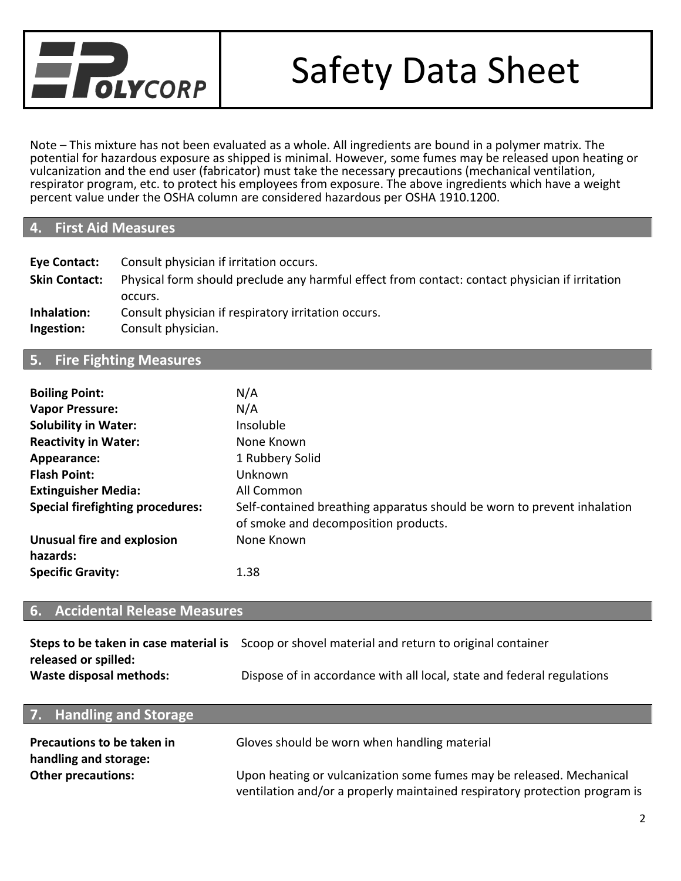

Note – This mixture has not been evaluated as a whole. All ingredients are bound in a polymer matrix. The potential for hazardous exposure as shipped is minimal. However, some fumes may be released upon heating or vulcanization and the end user (fabricator) must take the necessary precautions (mechanical ventilation, respirator program, etc. to protect his employees from exposure. The above ingredients which have a weight percent value under the OSHA column are considered hazardous per OSHA 1910.1200.

### **4. First Aid Measures**

| Eye Contact:         | Consult physician if irritation occurs.                                                        |
|----------------------|------------------------------------------------------------------------------------------------|
| <b>Skin Contact:</b> | Physical form should preclude any harmful effect from contact: contact physician if irritation |
|                      | occurs.                                                                                        |
| Inhalation:          | Consult physician if respiratory irritation occurs.                                            |
| Ingestion:           | Consult physician.                                                                             |

#### **5. Fire Fighting Measures**

| <b>Boiling Point:</b>                   | N/A                                                                                                             |
|-----------------------------------------|-----------------------------------------------------------------------------------------------------------------|
| <b>Vapor Pressure:</b>                  | N/A                                                                                                             |
| <b>Solubility in Water:</b>             | <b>Insoluble</b>                                                                                                |
| <b>Reactivity in Water:</b>             | None Known                                                                                                      |
| Appearance:                             | 1 Rubbery Solid                                                                                                 |
| <b>Flash Point:</b>                     | Unknown                                                                                                         |
| <b>Extinguisher Media:</b>              | All Common                                                                                                      |
| <b>Special firefighting procedures:</b> | Self-contained breathing apparatus should be worn to prevent inhalation<br>of smoke and decomposition products. |
| <b>Unusual fire and explosion</b>       | None Known                                                                                                      |
| hazards:                                |                                                                                                                 |
| <b>Specific Gravity:</b>                | 1.38                                                                                                            |

#### **6. Accidental Release Measures**

|                         | Steps to be taken in case material is Scoop or shovel material and return to original container |
|-------------------------|-------------------------------------------------------------------------------------------------|
| released or spilled:    |                                                                                                 |
| Waste disposal methods: | Dispose of in accordance with all local, state and federal regulations                          |

| 7. Handling and Storage                             |                                                                                                                                                    |
|-----------------------------------------------------|----------------------------------------------------------------------------------------------------------------------------------------------------|
| Precautions to be taken in<br>handling and storage: | Gloves should be worn when handling material                                                                                                       |
| <b>Other precautions:</b>                           | Upon heating or vulcanization some fumes may be released. Mechanical<br>ventilation and/or a properly maintained respiratory protection program is |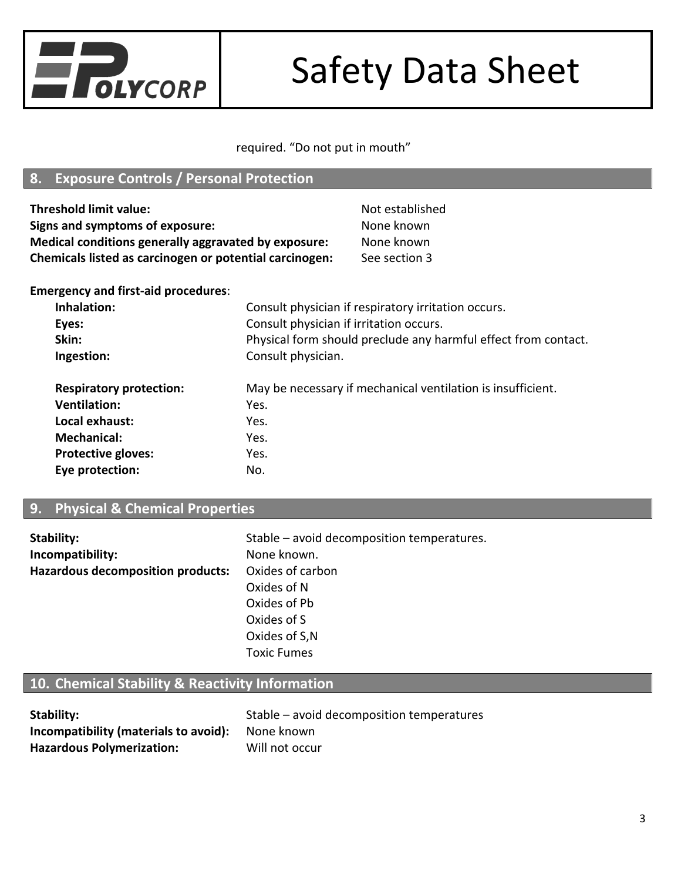

### required. "Do not put in mouth"

## **8. Exposure Controls / Personal Protection**

| Threshold limit value:                                  | Not established |
|---------------------------------------------------------|-----------------|
| Signs and symptoms of exposure:                         | None known      |
| Medical conditions generally aggravated by exposure:    | None known      |
| Chemicals listed as carcinogen or potential carcinogen: | See section 3   |
|                                                         |                 |

**Emergency and first-aid procedures**:

| Inhalation:                    | Consult physician if respiratory irritation occurs.            |
|--------------------------------|----------------------------------------------------------------|
| Eyes:                          | Consult physician if irritation occurs.                        |
| Skin:                          | Physical form should preclude any harmful effect from contact. |
| Ingestion:                     | Consult physician.                                             |
|                                |                                                                |
| <b>Respiratory protection:</b> | May be necessary if mechanical ventilation is insufficient.    |
| <b>Ventilation:</b>            | Yes.                                                           |
| Local exhaust:                 | Yes.                                                           |
| <b>Mechanical:</b>             | Yes.                                                           |
| <b>Protective gloves:</b>      | Yes.                                                           |
| Eye protection:                | No.                                                            |

## **9. Physical & Chemical Properties**

| Stability:                               | Stable – avoid decomposition temperatures. |
|------------------------------------------|--------------------------------------------|
| Incompatibility:                         | None known.                                |
| <b>Hazardous decomposition products:</b> | Oxides of carbon                           |
|                                          | Oxides of N                                |
|                                          | Oxides of Pb                               |
|                                          | Oxides of S                                |
|                                          | Oxides of S,N                              |
|                                          | <b>Toxic Fumes</b>                         |

# **10. Chemical Stability & Reactivity Information**

| Stability:                                              | Stable – avoid decomposition temperatures |
|---------------------------------------------------------|-------------------------------------------|
| <b>Incompatibility (materials to avoid):</b> None known |                                           |
| <b>Hazardous Polymerization:</b>                        | Will not occur                            |